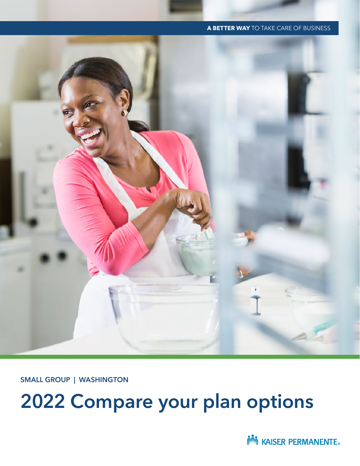# 2022 Compare your plan options

SMALL GROUP | WASHINGTON

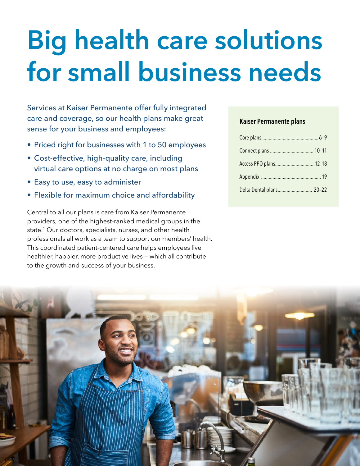# Big health care solutions for small business needs

Services at Kaiser Permanente offer fully integrated care and coverage, so our health plans make great sense for your business and employees:

- Priced right for businesses with 1 to 50 employees
- Cost-effective, high-quality care, including virtual care options at no charge on most plans
- Easy to use, easy to administer
- Flexible for maximum choice and affordability

Central to all our plans is care from Kaiser Permanente providers, one of the highest-ranked medical groups in the state.<sup>1</sup> Our doctors, specialists, nurses, and other health professionals all work as a team to support our members' health. This coordinated patient-centered care helps employees live healthier, happier, more productive lives — which all contribute to the growth and success of your business.

#### Kaiser Permanente plans

| Access PPO plans12-18    |  |
|--------------------------|--|
|                          |  |
| Delta Dental plans 20-22 |  |

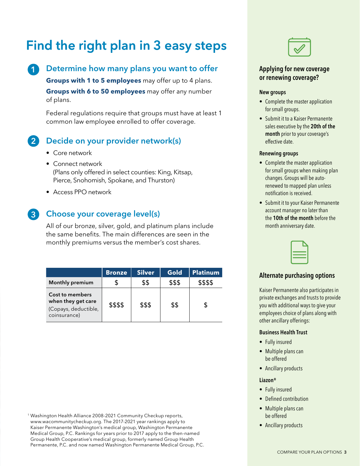# Find the right plan in 3 easy steps

### 1

#### Determine how many plans you want to offer

**Groups with 1 to 5 employees** may offer up to 4 plans. **Groups with 6 to 50 employees** may offer any number of plans.

Federal regulations require that groups must have at least 1 common law employee enrolled to offer coverage.

#### Decide on your provider network(s) 2

- Core network
- Connect network (Plans only offered in select counties: King, Kitsap, Pierce, Snohomish, Spokane, and Thurston)
- Access PPO network

### 3

#### Choose your coverage level(s)

All of our bronze, silver, gold, and platinum plans include the same benefits. The main differences are seen in the monthly premiums versus the member's cost shares.

|                                                                               | <b>Bronze</b> | <b>Silver</b> | Gold   | <b>Platinum</b> |
|-------------------------------------------------------------------------------|---------------|---------------|--------|-----------------|
| <b>Monthly premium</b>                                                        |               | \$\$          | \$\$\$ | \$\$\$\$        |
| Cost to members<br>when they get care<br>(Copays, deductible,<br>coinsurance) | \$\$\$\$      | \$\$\$        | \$\$   |                 |

<sup>1</sup> Washington Health Alliance 2008-2021 Community Checkup reports, www.wacommunitycheckup.org. The 2017-2021 year rankings apply to Kaiser Permanente Washington's medical group, Washington Permanente Medical Group, P.C. Rankings for years prior to 2017 apply to the then-named Group Health Cooperative's medical group, formerly named Group Health Permanente, P.C. and now named Washington Permanente Medical Group, P.C.



#### Applying for new coverage or renewing coverage?

#### New groups

- Complete the master application for small groups.
- Submit it to a Kaiser Permanente sales executive by the 20th of the month prior to your coverage's effective date.

#### Renewing groups

- Complete the master application for small groups when making plan changes. Groups will be autorenewed to mapped plan unless notification is received.
- Submit it to your Kaiser Permanente account manager no later than the 10th of the month before the month anniversary date.



#### Alternate purchasing options

Kaiser Permanente also participates in private exchanges and trusts to provide you with additional ways to give your employees choice of plans along with other ancillary offerings:

#### Business Health Trust

- Fully insured
- Multiple plans can be offered
- Ancillary products

#### Liazon®

- Fully insured
- Defined contribution
- Multiple plans can be offered
- Ancillary products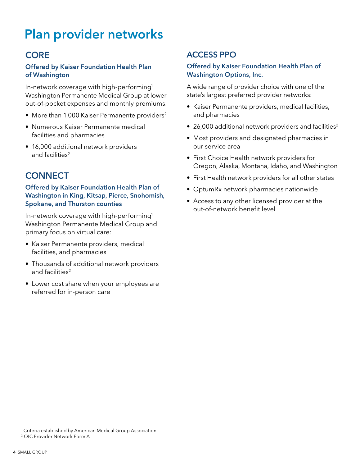# Plan provider networks

### **CORE**

#### Offered by Kaiser Foundation Health Plan of Washington

In-network coverage with high-performing1 Washington Permanente Medical Group at lower out-of-pocket expenses and monthly premiums:

- More than 1,000 Kaiser Permanente providers<sup>2</sup>
- Numerous Kaiser Permanente medical facilities and pharmacies
- 16,000 additional network providers and facilities<sup>2</sup>

### **CONNECT**

#### Offered by Kaiser Foundation Health Plan of Washington in King, Kitsap, Pierce, Snohomish, Spokane, and Thurston counties

In-network coverage with high-performing1 Washington Permanente Medical Group and primary focus on virtual care:

- Kaiser Permanente providers, medical facilities, and pharmacies
- Thousands of additional network providers and facilities<sup>2</sup>
- Lower cost share when your employees are referred for in-person care

### ACCESS PPO

#### Offered by Kaiser Foundation Health Plan of Washington Options, Inc.

A wide range of provider choice with one of the state's largest preferred provider networks:

- Kaiser Permanente providers, medical facilities, and pharmacies
- 26,000 additional network providers and facilities<sup>2</sup>
- Most providers and designated pharmacies in our service area
- First Choice Health network providers for Oregon, Alaska, Montana, Idaho, and Washington
- First Health network providers for all other states
- OptumRx network pharmacies nationwide
- Access to any other licensed provider at the out-of-network benefit level

<sup>&</sup>lt;sup>1</sup> Criteria established by American Medical Group Association

<sup>2</sup> OIC Provider Network Form A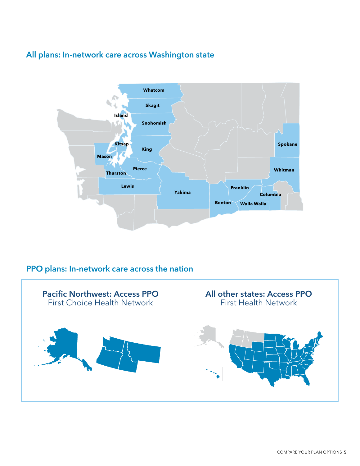### All plans: In-network care across Washington state



### PPO plans: In-network care across the nation

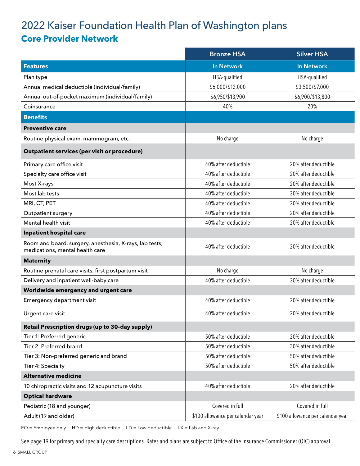### 2022 Kaiser Foundation Health Plan of Washington plans **Core Provider Network**

|                                                                                            | <b>Bronze HSA</b>                 | <b>Silver HSA</b>                 |
|--------------------------------------------------------------------------------------------|-----------------------------------|-----------------------------------|
| <b>Features</b>                                                                            | <b>In Network</b>                 | In Network                        |
| Plan type                                                                                  | HSA-qualified                     | HSA-qualified                     |
| Annual medical deductible (individual/family)                                              | \$6,000/\$12,000                  | \$3,500/\$7,000                   |
| Annual out-of-pocket maximum (individual/family)                                           | \$6,950/\$13,900                  | \$6,900/\$13,800                  |
| Coinsurance                                                                                | 40%                               | 20%                               |
| <b>Benefits</b>                                                                            |                                   |                                   |
| <b>Preventive care</b>                                                                     |                                   |                                   |
| Routine physical exam, mammogram, etc.                                                     | No charge                         | No charge                         |
| Outpatient services (per visit or procedure)                                               |                                   |                                   |
| Primary care office visit                                                                  | 40% after deductible              | 20% after deductible              |
| Specialty care office visit                                                                | 40% after deductible              | 20% after deductible              |
| Most X-rays                                                                                | 40% after deductible              | 20% after deductible              |
| Most lab tests                                                                             | 40% after deductible              | 20% after deductible              |
| MRI, CT, PET                                                                               | 40% after deductible              | 20% after deductible              |
| <b>Outpatient surgery</b>                                                                  | 40% after deductible              | 20% after deductible              |
| Mental health visit                                                                        | 40% after deductible              | 20% after deductible              |
| Inpatient hospital care                                                                    |                                   |                                   |
| Room and board, surgery, anesthesia, X-rays, lab tests,<br>medications, mental health care | 40% after deductible              | 20% after deductible              |
| <b>Maternity</b>                                                                           |                                   |                                   |
| Routine prenatal care visits, first postpartum visit                                       | No charge                         | No charge                         |
| Delivery and inpatient well-baby care                                                      | 40% after deductible              | 20% after deductible              |
| Worldwide emergency and urgent care                                                        |                                   |                                   |
| Emergency department visit                                                                 | 40% after deductible              | 20% after deductible              |
| Urgent care visit                                                                          | 40% after deductible              | 20% after deductible              |
| Retail Prescription drugs (up to 30-day supply)                                            |                                   |                                   |
| Tier 1: Preferred generic                                                                  | 50% after deductible              | 20% after deductible              |
| Tier 2: Preferred brand                                                                    | 50% after deductible              | 30% after deductible              |
| Tier 3: Non-preferred generic and brand                                                    | 50% after deductible              | 50% after deductible              |
| Tier 4: Specialty                                                                          | 50% after deductible              | 50% after deductible              |
| <b>Alternative medicine</b>                                                                |                                   |                                   |
| 10 chiropractic visits and 12 acupuncture visits                                           | 40% after deductible              | 20% after deductible              |
| <b>Optical hardware</b>                                                                    |                                   |                                   |
| Pediatric (18 and younger)                                                                 | Covered in full                   | Covered in full                   |
| Adult (19 and older)                                                                       | \$100 allowance per calendar year | \$100 allowance per calendar year |
|                                                                                            |                                   |                                   |

 $EO = Employee only$   $HD = High deductible$   $LD = Low deductible$   $LX = Lab$  and X-ray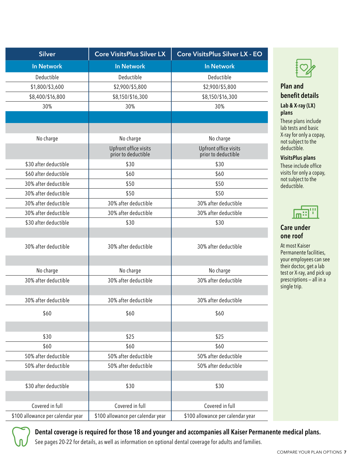| <b>Silver</b>                     | <b>Core VisitsPlus Silver LX</b>             | <b>Core VisitsPlus Silver LX - EO</b>        |
|-----------------------------------|----------------------------------------------|----------------------------------------------|
| <b>In Network</b>                 | In Network                                   | <b>In Network</b>                            |
| Deductible                        | Deductible                                   | Deductible                                   |
| \$1,800/\$3,600                   | \$2,900/\$5,800                              | \$2,900/\$5,800                              |
| \$8,400/\$16,800                  | \$8,150/\$16,300                             | \$8,150/\$16,300                             |
| 30%                               | 30%                                          | 30%                                          |
|                                   |                                              |                                              |
|                                   |                                              |                                              |
| No charge                         | No charge                                    | No charge                                    |
|                                   | Upfront office visits<br>prior to deductible | Upfront office visits<br>prior to deductible |
| \$30 after deductible             | \$30                                         | \$30                                         |
| \$60 after deductible             | \$60                                         | \$60                                         |
| 30% after deductible              | \$50                                         | \$50                                         |
| 30% after deductible              | \$50                                         | \$50                                         |
| 30% after deductible              | 30% after deductible                         | 30% after deductible                         |
| 30% after deductible              | 30% after deductible                         | 30% after deductible                         |
| \$30 after deductible             | \$30                                         | \$30                                         |
| 30% after deductible              | 30% after deductible                         | 30% after deductible                         |
| No charge                         | No charge                                    | No charge                                    |
| 30% after deductible              | 30% after deductible                         | 30% after deductible                         |
|                                   |                                              |                                              |
| 30% after deductible              | 30% after deductible                         | 30% after deductible                         |
| \$60                              | \$60                                         | \$60                                         |
| \$30                              | \$25                                         | \$25                                         |
| \$60                              | \$60                                         | \$60                                         |
| 50% after deductible              | 50% after deductible                         | 50% after deductible                         |
| 50% after deductible              | 50% after deductible                         | 50% after deductible                         |
|                                   |                                              |                                              |
| \$30 after deductible             | \$30                                         | \$30                                         |
|                                   |                                              |                                              |
| Covered in full                   | Covered in full                              | Covered in full                              |
| \$100 allowance per calendar year | \$100 allowance per calendar year            | \$100 allowance per calendar year            |
|                                   |                                              |                                              |



#### Plan and benefit details

#### Lab & X-ray (LX) plans

These plans include lab tests and basic X-ray for only a copay, not subject to the deductible.

VisitsPlus plans

These include office visits for only a copay, not subject to the deductible.



#### Care under one roof

At most Kaiser Permanente facilities, your employees can see their doctor, get a lab test or X-ray, and pick up prescriptions — all in a single trip.



Dental coverage is required for those 18 and younger and accompanies all Kaiser Permanente medical plans.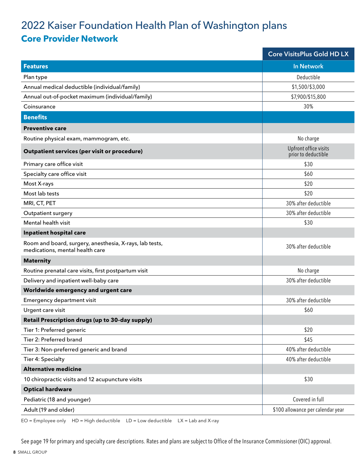### 2022 Kaiser Foundation Health Plan of Washington plans **Core Provider Network**

|                                                                                            | Core VisitsPlus Gold HD LX                   |
|--------------------------------------------------------------------------------------------|----------------------------------------------|
| <b>Features</b>                                                                            | In Network                                   |
| Plan type                                                                                  | Deductible                                   |
| Annual medical deductible (individual/family)                                              | \$1,500/\$3,000                              |
| Annual out-of-pocket maximum (individual/family)                                           | \$7,900/\$15,800                             |
| Coinsurance                                                                                | 30%                                          |
| <b>Benefits</b>                                                                            |                                              |
| <b>Preventive care</b>                                                                     |                                              |
| Routine physical exam, mammogram, etc.                                                     | No charge                                    |
| Outpatient services (per visit or procedure)                                               | Upfront office visits<br>prior to deductible |
| Primary care office visit                                                                  | \$30                                         |
| Specialty care office visit                                                                | \$60                                         |
| Most X-rays                                                                                | \$20                                         |
| Most lab tests                                                                             | \$20                                         |
| MRI, CT, PET                                                                               | 30% after deductible                         |
| Outpatient surgery                                                                         | 30% after deductible                         |
| Mental health visit                                                                        | \$30                                         |
| Inpatient hospital care                                                                    |                                              |
| Room and board, surgery, anesthesia, X-rays, lab tests,<br>medications, mental health care | 30% after deductible                         |
| <b>Maternity</b>                                                                           |                                              |
| Routine prenatal care visits, first postpartum visit                                       | No charge                                    |
| Delivery and inpatient well-baby care                                                      | 30% after deductible                         |
| Worldwide emergency and urgent care                                                        |                                              |
| Emergency department visit                                                                 | 30% after deductible                         |
| Urgent care visit                                                                          | \$60                                         |
| Retail Prescription drugs (up to 30-day supply)                                            |                                              |
| Tier 1: Preferred generic                                                                  | \$20                                         |
| Tier 2: Preferred brand                                                                    | \$45                                         |
| Tier 3: Non-preferred generic and brand                                                    | 40% after deductible                         |
| Tier 4: Specialty                                                                          | 40% after deductible                         |
| <b>Alternative medicine</b>                                                                |                                              |
| 10 chiropractic visits and 12 acupuncture visits                                           | \$30                                         |
| <b>Optical hardware</b>                                                                    |                                              |
| Pediatric (18 and younger)                                                                 | Covered in full                              |
| Adult (19 and older)                                                                       | \$100 allowance per calendar year            |
|                                                                                            |                                              |

 $EO = Employee only$   $HD = High deductible$   $LD = Low deductible$   $LX = Lab$  and X-ray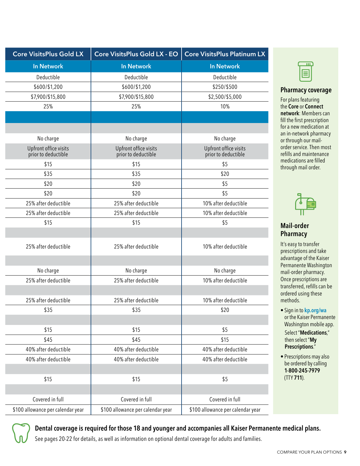| Core VisitsPlus Gold LX                      | Core VisitsPlus Gold LX - EO                 | <b>Core VisitsPlus Platinum LX</b>           |
|----------------------------------------------|----------------------------------------------|----------------------------------------------|
| <b>In Network</b>                            | <b>In Network</b>                            | <b>In Network</b>                            |
| Deductible                                   | Deductible                                   | Deductible                                   |
| \$600/\$1,200                                | \$600/\$1,200                                | \$250/\$500                                  |
| \$7,900/\$15,800                             | \$7,900/\$15,800                             | \$2,500/\$5,000                              |
| 25%                                          | 25%                                          | 10%                                          |
|                                              |                                              |                                              |
|                                              |                                              |                                              |
| No charge                                    | No charge                                    | No charge                                    |
| Upfront office visits<br>prior to deductible | Upfront office visits<br>prior to deductible | Upfront office visits<br>prior to deductible |
| \$15                                         | \$15                                         | \$5                                          |
| \$35                                         | \$35                                         | \$20                                         |
| \$20                                         | \$20                                         | \$5                                          |
| \$20                                         | \$20                                         | \$5                                          |
| 25% after deductible                         | 25% after deductible                         | 10% after deductible                         |
| 25% after deductible                         | 25% after deductible                         | 10% after deductible                         |
| \$15                                         | \$15                                         | \$5                                          |
|                                              |                                              |                                              |
| 25% after deductible                         | 25% after deductible                         | 10% after deductible                         |
|                                              |                                              |                                              |
| No charge                                    | No charge                                    | No charge                                    |
| 25% after deductible                         | 25% after deductible                         | 10% after deductible                         |
|                                              |                                              |                                              |
| 25% after deductible                         | 25% after deductible                         | 10% after deductible                         |
| \$35                                         | \$35                                         | \$20                                         |
|                                              |                                              |                                              |
| \$15                                         | \$15                                         | \$5                                          |
| \$45                                         | \$45                                         | \$15                                         |
| 40% after deductible                         | 40% after deductible                         | 40% after deductible                         |
| 40% after deductible                         | 40% after deductible                         | 40% after deductible                         |
|                                              |                                              |                                              |
| \$15                                         | \$15                                         | \$5                                          |
|                                              |                                              |                                              |
| Covered in full                              | Covered in full                              | Covered in full                              |
| \$100 allowance per calendar year            | \$100 allowance per calendar year            | \$100 allowance per calendar year            |



#### Pharmacy coverage

For plans featuring the Core or Connect network: Members can fill the first prescription for a new medication at an in-network pharmacy or through our mailorder service. Then most refills and maintenance medications are filled through mail order.



#### Mail-order **Pharmacy**

It's easy to transfer prescriptions and take advantage of the Kaiser Permanente Washington mail-order pharmacy. Once prescriptions are transferred, refills can be ordered using these methods.

- Sign in to [kp.org/wa](http://kp.org/wa) or the Kaiser Permanente Washington mobile app. Select "Medications," then select "My Prescriptions."
- Prescriptions may also be ordered by calling 1-800-245-7979 (TTY 711).



Dental coverage is required for those 18 and younger and accompanies all Kaiser Permanente medical plans.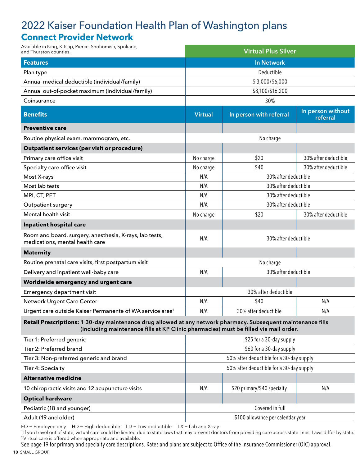### 2022 Kaiser Foundation Health Plan of Washington plans **Connect Provider Network**

| Available in King, Kitsap, Pierce, Snohomish, Spokane,<br>and Thurston counties.                                                                                                                      |                | <b>Virtual Plus Silver</b> |                               |
|-------------------------------------------------------------------------------------------------------------------------------------------------------------------------------------------------------|----------------|----------------------------|-------------------------------|
| <b>Features</b>                                                                                                                                                                                       |                | <b>In Network</b>          |                               |
| Plan type                                                                                                                                                                                             |                | Deductible                 |                               |
| Annual medical deductible (individual/family)                                                                                                                                                         |                | \$3,000/\$6,000            |                               |
| Annual out-of-pocket maximum (individual/family)                                                                                                                                                      |                | \$8,100/\$16,200           |                               |
| Coinsurance                                                                                                                                                                                           |                | 30%                        |                               |
| <b>Benefits</b>                                                                                                                                                                                       | <b>Virtual</b> | In person with referral    | In person without<br>referral |
| <b>Preventive care</b>                                                                                                                                                                                |                |                            |                               |
| Routine physical exam, mammogram, etc.                                                                                                                                                                |                | No charge                  |                               |
| Outpatient services (per visit or procedure)                                                                                                                                                          |                |                            |                               |
| Primary care office visit                                                                                                                                                                             | No charge      | \$20                       | 30% after deductible          |
| Specialty care office visit                                                                                                                                                                           | No charge      | \$40                       | 30% after deductible          |
| Most X-rays                                                                                                                                                                                           | N/A            | 30% after deductible       |                               |
| Most lab tests                                                                                                                                                                                        | N/A            | 30% after deductible       |                               |
| MRI, CT, PET                                                                                                                                                                                          | N/A            | 30% after deductible       |                               |
| Outpatient surgery                                                                                                                                                                                    | N/A            | 30% after deductible       |                               |
| Mental health visit                                                                                                                                                                                   | No charge      | \$20                       | 30% after deductible          |
| Inpatient hospital care                                                                                                                                                                               |                |                            |                               |
| Room and board, surgery, anesthesia, X-rays, lab tests,<br>medications, mental health care                                                                                                            | N/A            | 30% after deductible       |                               |
| <b>Maternity</b>                                                                                                                                                                                      |                |                            |                               |
| Routine prenatal care visits, first postpartum visit                                                                                                                                                  |                | No charge                  |                               |
| Delivery and inpatient well-baby care                                                                                                                                                                 | N/A            | 30% after deductible       |                               |
| Worldwide emergency and urgent care                                                                                                                                                                   |                |                            |                               |
| Emergency department visit                                                                                                                                                                            |                | 30% after deductible       |                               |
| Network Urgent Care Center                                                                                                                                                                            | N/A            | \$40                       | N/A                           |
| Urgent care outside Kaiser Permanente of WA service area <sup>1</sup>                                                                                                                                 | N/A            | 30% after deductible       | N/A                           |
| Retail Prescriptions: 1 30-day maintenance drug allowed at any network pharmacy. Subsequent maintenance fills<br>(including maintenance fills at KP Clinic pharmacies) must be filled via mail order. |                |                            |                               |
| Tier 1: Preferred generic                                                                                                                                                                             |                | \$25 for a 30-day supply   |                               |
|                                                                                                                                                                                                       |                |                            |                               |

| TIEL I'LLIGICHEA ACHEIIC                         |     | <b>PLU IOI A JU-UAY SUPPIY</b>           |     |
|--------------------------------------------------|-----|------------------------------------------|-----|
| Tier 2: Preferred brand                          |     | \$60 for a 30-day supply                 |     |
| Tier 3: Non-preferred generic and brand          |     | 50% after deductible for a 30-day supply |     |
| Tier 4: Specialty                                |     | 50% after deductible for a 30-day supply |     |
| <b>Alternative medicine</b>                      |     |                                          |     |
| 10 chiropractic visits and 12 acupuncture visits | N/A | \$20 primary/\$40 specialty              | N/A |
| <b>Optical hardware</b>                          |     |                                          |     |
| Pediatric (18 and younger)                       |     | Covered in full                          |     |
| Adult (19 and older)                             |     | \$100 allowance per calendar year        |     |

 $EO = Employee only$   $HD = High deductible$   $LD = Low deductible$   $LX = Lab$  and X-ray

<sup>1</sup>If you travel out of state, virtual care could be limited due to state laws that may prevent doctors from providing care across state lines. Laws differ by state. 2 Virtual care is offered when appropriate and available.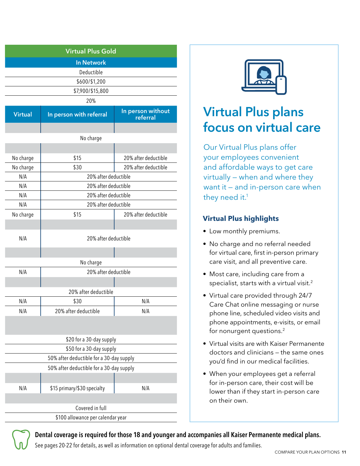|                                           | <b>Virtual Plus Gold</b>                 |
|-------------------------------------------|------------------------------------------|
|                                           |                                          |
| <b>In Network</b><br>Deductible           |                                          |
| \$600/\$1,200                             |                                          |
| \$7,900/\$15,800                          |                                          |
| 20%                                       |                                          |
|                                           |                                          |
| In person with referral<br><b>Virtual</b> | In person without<br>referral            |
|                                           |                                          |
| No charge                                 |                                          |
|                                           |                                          |
| \$15<br>No charge                         | 20% after deductible                     |
| No charge<br>\$30                         | 20% after deductible                     |
| N/A                                       | 20% after deductible                     |
| N/A                                       | 20% after deductible                     |
| N/A                                       | 20% after deductible                     |
| N/A                                       | 20% after deductible                     |
| No charge<br>\$15                         | 20% after deductible                     |
|                                           |                                          |
| N/A                                       | 20% after deductible                     |
|                                           |                                          |
|                                           |                                          |
| No charge                                 |                                          |
| N/A                                       | 20% after deductible                     |
|                                           |                                          |
|                                           | 20% after deductible                     |
| N/A<br>\$30                               | N/A                                      |
| N/A<br>20% after deductible               | N/A                                      |
|                                           |                                          |
|                                           | \$20 for a 30-day supply                 |
|                                           | \$50 for a 30-day supply                 |
|                                           | 50% after deductible for a 30-day supply |
|                                           | 50% after deductible for a 30-day supply |
|                                           |                                          |
| \$15 primary/\$30 specialty<br>N/A        | N/A                                      |
|                                           |                                          |
| Covered in full                           |                                          |
|                                           | \$100 allowance per calendar year        |



# Virtual Plus plans focus on virtual care

Our Virtual Plus plans offer your employees convenient and affordable ways to get care virtually — when and where they want it — and in-person care when they need it.<sup>1</sup>

#### **Virtual Plus highlights**

- Low monthly premiums.
- No charge and no referral needed for virtual care, first in-person primary care visit, and all preventive care.
- Most care, including care from a specialist, starts with a virtual visit.<sup>2</sup>
- Virtual care provided through 24/7 Care Chat online messaging or nurse phone line, scheduled video visits and phone appointments, e-visits, or email for nonurgent questions.2
- Virtual visits are with Kaiser Permanente doctors and clinicians — the same ones you'd find in our medical facilities.
- When your employees get a referral for in-person care, their cost will be lower than if they start in-person care on their own.

#### Dental coverage is required for those 18 and younger and accompanies all Kaiser Permanente medical plans.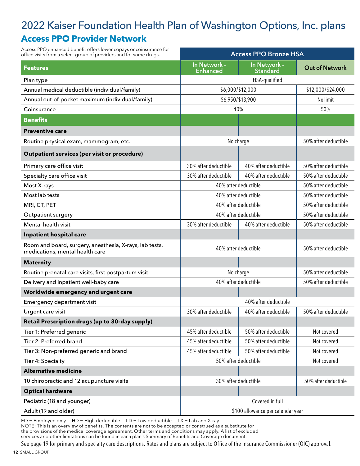### 2022 Kaiser Foundation Health Plan of Washington Options, Inc. plans **Access PPO Provider Network**

| Access PPO enhanced benefit offers lower copays or coinsurance for<br>office visits from a select group of providers and for some drugs. |                                 | <b>Access PPO Bronze HSA</b>      |                                             |
|------------------------------------------------------------------------------------------------------------------------------------------|---------------------------------|-----------------------------------|---------------------------------------------|
| <b>Features</b>                                                                                                                          | In Network -<br><b>Enhanced</b> | In Network -<br><b>Standard</b>   | <b>Out of Network</b>                       |
| Plan type                                                                                                                                |                                 | HSA-qualified                     |                                             |
| Annual medical deductible (individual/family)                                                                                            |                                 | \$6,000/\$12,000                  | \$12,000/\$24,000                           |
| Annual out-of-pocket maximum (individual/family)                                                                                         | \$6,950/\$13,900                |                                   | No limit                                    |
| Coinsurance                                                                                                                              |                                 | 40%                               | 50%                                         |
| <b>Benefits</b>                                                                                                                          |                                 |                                   |                                             |
| <b>Preventive care</b>                                                                                                                   |                                 |                                   |                                             |
| Routine physical exam, mammogram, etc.                                                                                                   |                                 | No charge                         | 50% after deductible                        |
| <b>Outpatient services (per visit or procedure)</b>                                                                                      |                                 |                                   |                                             |
| Primary care office visit                                                                                                                | 30% after deductible            | 40% after deductible              | 50% after deductible                        |
| Specialty care office visit                                                                                                              | 30% after deductible            | 40% after deductible              | 50% after deductible                        |
| Most X-rays                                                                                                                              |                                 | 40% after deductible              | 50% after deductible                        |
| Most lab tests                                                                                                                           |                                 | 40% after deductible              | 50% after deductible                        |
| MRI, CT, PET                                                                                                                             |                                 | 40% after deductible              | 50% after deductible                        |
| Outpatient surgery                                                                                                                       |                                 | 40% after deductible              | 50% after deductible                        |
| Mental health visit                                                                                                                      | 30% after deductible            | 40% after deductible              | 50% after deductible                        |
| Inpatient hospital care                                                                                                                  |                                 |                                   |                                             |
| Room and board, surgery, anesthesia, X-rays, lab tests,<br>medications, mental health care                                               | 40% after deductible            |                                   | 50% after deductible                        |
| <b>Maternity</b>                                                                                                                         |                                 |                                   |                                             |
| Routine prenatal care visits, first postpartum visit                                                                                     |                                 | No charge                         | 50% after deductible                        |
| Delivery and inpatient well-baby care                                                                                                    |                                 | 40% after deductible              | 50% after deductible                        |
| Worldwide emergency and urgent care                                                                                                      |                                 |                                   |                                             |
| Emergency department visit                                                                                                               |                                 | 40% after deductible              |                                             |
| Urgent care visit                                                                                                                        | 30% after deductible            |                                   | 40% after deductible   50% after deductible |
| Retail Prescription drugs (up to 30-day supply)                                                                                          |                                 |                                   |                                             |
| Tier 1: Preferred generic                                                                                                                | 45% after deductible            | 50% after deductible              | Not covered                                 |
| Tier 2: Preferred brand                                                                                                                  | 45% after deductible            | 50% after deductible              | Not covered                                 |
| Tier 3: Non-preferred generic and brand                                                                                                  | 45% after deductible            | 50% after deductible              | Not covered                                 |
| Tier 4: Specialty                                                                                                                        |                                 | 50% after deductible              | Not covered                                 |
| <b>Alternative medicine</b>                                                                                                              |                                 |                                   |                                             |
| 10 chiropractic and 12 acupuncture visits                                                                                                |                                 | 30% after deductible              | 50% after deductible                        |
| <b>Optical hardware</b>                                                                                                                  |                                 |                                   |                                             |
| Pediatric (18 and younger)                                                                                                               |                                 | Covered in full                   |                                             |
| Adult (19 and older)                                                                                                                     |                                 | \$100 allowance per calendar year |                                             |

 $EO =$  Employee only HD = High deductible LD = Low deductible LX = Lab and X-ray NOTE: This is an overview of benefits. The contents are not to be accepted or construed as a substitute for the provisions of the medical coverage agreement. Other terms and conditions may apply. A list of excluded services and other limitations can be found in each plan's Summary of Benefits and Coverage document.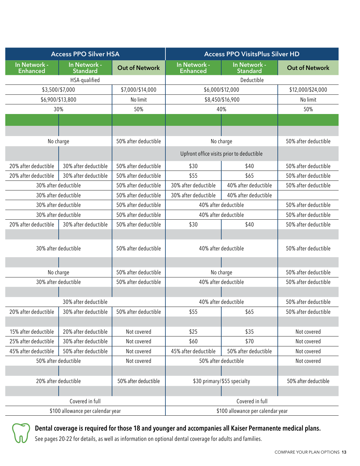|                                 |                      | <b>Access PPO Silver HSA</b>                                       |                       |                                           | <b>Access PPO VisitsPlus Silver HD</b> |                      |
|---------------------------------|----------------------|--------------------------------------------------------------------|-----------------------|-------------------------------------------|----------------------------------------|----------------------|
| In Network -<br><b>Enhanced</b> |                      | In Network -<br><b>Standard</b>                                    | <b>Out of Network</b> | In Network -<br><b>Enhanced</b>           | In Network -<br><b>Standard</b>        | Out of Network       |
|                                 |                      | HSA-qualified                                                      |                       |                                           | Deductible                             |                      |
|                                 | \$3,500/\$7,000      |                                                                    | \$7,000/\$14,000      | \$6,000/\$12,000                          |                                        | \$12,000/\$24,000    |
|                                 | \$6,900/\$13,800     |                                                                    | No limit              |                                           | \$8,450/\$16,900                       | No limit             |
|                                 | 30%                  |                                                                    | 50%                   | 40%                                       |                                        | 50%                  |
|                                 |                      |                                                                    |                       |                                           |                                        |                      |
|                                 |                      |                                                                    |                       |                                           |                                        |                      |
|                                 | No charge            |                                                                    | 50% after deductible  | No charge                                 |                                        | 50% after deductible |
|                                 |                      |                                                                    |                       | Upfront office visits prior to deductible |                                        |                      |
| 20% after deductible            |                      | 30% after deductible                                               | 50% after deductible  | \$30                                      | \$40                                   | 50% after deductible |
| 20% after deductible            |                      | 30% after deductible                                               | 50% after deductible  | \$55                                      | \$65                                   | 50% after deductible |
|                                 | 30% after deductible |                                                                    | 50% after deductible  | 30% after deductible                      | 40% after deductible                   | 50% after deductible |
|                                 | 30% after deductible |                                                                    | 50% after deductible  | 30% after deductible                      | 40% after deductible                   |                      |
|                                 | 30% after deductible |                                                                    | 50% after deductible  | 40% after deductible                      |                                        | 50% after deductible |
|                                 | 30% after deductible |                                                                    | 50% after deductible  | 40% after deductible                      |                                        | 50% after deductible |
| 20% after deductible            |                      | 30% after deductible                                               | 50% after deductible  | \$30                                      | \$40                                   | 50% after deductible |
|                                 |                      |                                                                    |                       |                                           |                                        |                      |
|                                 | 30% after deductible |                                                                    | 50% after deductible  | 40% after deductible                      |                                        | 50% after deductible |
|                                 |                      |                                                                    |                       |                                           |                                        |                      |
|                                 | No charge            |                                                                    | 50% after deductible  | No charge                                 |                                        | 50% after deductible |
|                                 | 30% after deductible |                                                                    | 50% after deductible  | 40% after deductible                      |                                        | 50% after deductible |
|                                 |                      |                                                                    |                       |                                           |                                        |                      |
|                                 |                      | 30% after deductible                                               |                       | 40% after deductible                      |                                        | 50% after deductible |
|                                 |                      | 20% after deductible   30% after deductible   50% after deductible |                       | \$55                                      | \$65                                   | 50% after deductible |
|                                 |                      |                                                                    |                       |                                           |                                        |                      |
| 15% after deductible            |                      | 20% after deductible                                               | Not covered           | \$25                                      | \$35                                   | Not covered          |
| 25% after deductible            |                      | 30% after deductible                                               | Not covered           | \$60                                      | \$70                                   | Not covered          |
| 45% after deductible            |                      | 50% after deductible                                               | Not covered           | 45% after deductible                      | 50% after deductible                   | Not covered          |
|                                 | 50% after deductible |                                                                    | Not covered           | 50% after deductible                      |                                        | Not covered          |
|                                 |                      |                                                                    |                       |                                           |                                        |                      |
|                                 | 20% after deductible |                                                                    | 50% after deductible  | \$30 primary/\$55 specialty               |                                        | 50% after deductible |
|                                 |                      |                                                                    |                       |                                           |                                        |                      |
|                                 |                      | Covered in full                                                    |                       |                                           | Covered in full                        |                      |
|                                 |                      | \$100 allowance per calendar year                                  |                       |                                           | \$100 allowance per calendar year      |                      |



### Dental coverage is required for those 18 and younger and accompanies all Kaiser Permanente medical plans.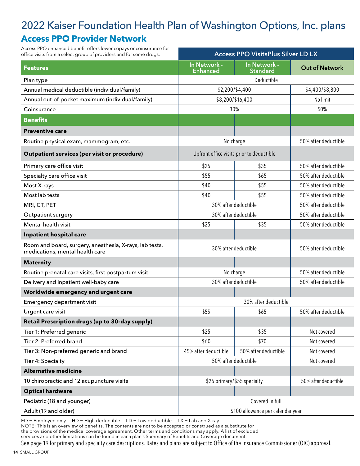### 2022 Kaiser Foundation Health Plan of Washington Options, Inc. plans **Access PPO Provider Network**

Access PPO enhanced benefit offers lower copays or coinsurance for office visits from a select group of providers and for some drugs.

| office visits from a select group of providers and for some drugs.                         |                          | <b>Access PPO VisitsPlus Silver LD LX</b> |                      |
|--------------------------------------------------------------------------------------------|--------------------------|-------------------------------------------|----------------------|
| <b>Features</b>                                                                            | In Network -<br>Enhanced | In Network -<br><b>Standard</b>           | Out of Network       |
| Plan type                                                                                  |                          | Deductible                                |                      |
| Annual medical deductible (individual/family)                                              |                          | \$2,200/\$4,400                           | \$4,400/\$8,800      |
| Annual out-of-pocket maximum (individual/family)                                           |                          | \$8,200/\$16,400                          | No limit             |
| Coinsurance                                                                                |                          | 30%                                       | 50%                  |
| <b>Benefits</b>                                                                            |                          |                                           |                      |
| <b>Preventive care</b>                                                                     |                          |                                           |                      |
| Routine physical exam, mammogram, etc.                                                     |                          | No charge                                 | 50% after deductible |
| <b>Outpatient services (per visit or procedure)</b>                                        |                          | Upfront office visits prior to deductible |                      |
| Primary care office visit                                                                  | \$25                     | \$35                                      | 50% after deductible |
| Specialty care office visit                                                                | \$55                     | \$65                                      | 50% after deductible |
| Most X-rays                                                                                | \$40                     | \$55                                      | 50% after deductible |
| Most lab tests                                                                             | \$40                     | \$55                                      | 50% after deductible |
| MRI, CT, PET                                                                               |                          | 30% after deductible                      | 50% after deductible |
| Outpatient surgery                                                                         |                          | 30% after deductible                      | 50% after deductible |
| Mental health visit                                                                        | \$25                     | \$35                                      | 50% after deductible |
| Inpatient hospital care                                                                    |                          |                                           |                      |
| Room and board, surgery, anesthesia, X-rays, lab tests,<br>medications, mental health care |                          | 30% after deductible                      | 50% after deductible |
| <b>Maternity</b>                                                                           |                          |                                           |                      |
| Routine prenatal care visits, first postpartum visit                                       |                          | No charge                                 | 50% after deductible |
| Delivery and inpatient well-baby care                                                      |                          | 30% after deductible                      | 50% after deductible |
| Worldwide emergency and urgent care                                                        |                          |                                           |                      |
| Emergency department visit                                                                 |                          | 30% after deductible                      |                      |
| Urgent care visit                                                                          | \$55                     | \$65                                      | 50% after deductible |
| Retail Prescription drugs (up to 30-day supply)                                            |                          |                                           |                      |
| Tier 1: Preferred generic                                                                  | \$25                     | \$35                                      | Not covered          |
| Tier 2: Preferred brand                                                                    | \$60                     | \$70                                      | Not covered          |
| Tier 3: Non-preferred generic and brand                                                    | 45% after deductible     | 50% after deductible                      | Not covered          |
| Tier 4: Specialty                                                                          |                          | 50% after deductible                      | Not covered          |
| <b>Alternative medicine</b>                                                                |                          |                                           |                      |
| 10 chiropractic and 12 acupuncture visits                                                  |                          | \$25 primary/\$55 specialty               | 50% after deductible |
| <b>Optical hardware</b>                                                                    |                          |                                           |                      |
| Pediatric (18 and younger)                                                                 |                          | Covered in full                           |                      |
| Adult (19 and older)                                                                       |                          | \$100 allowance per calendar year         |                      |

EO = Employee only HD = High deductible LD = Low deductible LX = Lab and X-ray

NOTE: This is an overview of benefits. The contents are not to be accepted or construed as a substitute for the provisions of the medical coverage agreement. Other terms and conditions may apply. A list of excluded

services and other limitations can be found in each plan's Summary of Benefits and Coverage document.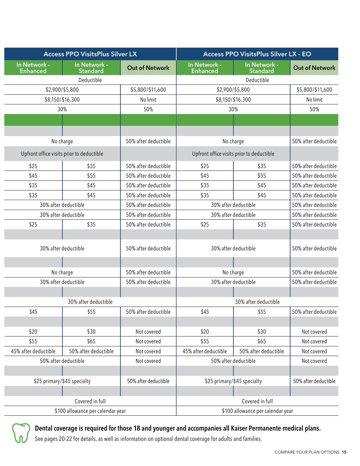| <b>Access PPO VisitsPlus Silver LX</b> |                                           | <b>Access PPO VisitsPlus Silver LX - EO</b> |                                 |                                           |                       |
|----------------------------------------|-------------------------------------------|---------------------------------------------|---------------------------------|-------------------------------------------|-----------------------|
| In Network -<br><b>Enhanced</b>        | In Network -<br>Standard                  | <b>Out of Network</b>                       | In Network -<br><b>Enhanced</b> | In Network -<br>Standard                  | <b>Out of Network</b> |
|                                        | Deductible                                |                                             | Deductible                      |                                           |                       |
| \$2,900/\$5,800<br>\$5,800/\$11,600    |                                           | \$2,900/\$5,800                             |                                 | \$5,800/\$11,600                          |                       |
|                                        | \$8,150/\$16,300                          | No limit                                    | \$8,150/\$16,300                |                                           | No limit              |
|                                        | 30%                                       | 50%                                         |                                 | 30%                                       | 50%                   |
|                                        |                                           |                                             |                                 |                                           |                       |
|                                        |                                           |                                             |                                 |                                           |                       |
|                                        | No charge                                 | 50% after deductible                        |                                 | No charge                                 | 50% after deductible  |
|                                        | Upfront office visits prior to deductible |                                             |                                 | Upfront office visits prior to deductible |                       |
| \$25                                   | \$35                                      | 50% after deductible                        | \$25                            | \$35                                      | 50% after deductible  |
| \$45                                   | \$55                                      | 50% after deductible                        | \$45                            | \$55                                      | 50% after deductible  |
| \$35                                   | \$45                                      | 50% after deductible                        | \$35                            | \$45                                      | 50% after deductible  |
| \$35                                   | \$45                                      | 50% after deductible                        | \$35                            | \$45                                      | 50% after deductible  |
|                                        | 30% after deductible                      | 50% after deductible                        |                                 | 30% after deductible                      | 50% after deductible  |
|                                        | 30% after deductible                      | 50% after deductible                        |                                 | 30% after deductible                      | 50% after deductible  |
| \$25                                   | \$35                                      | 50% after deductible                        | \$25                            | \$35                                      | 50% after deductible  |
|                                        | 30% after deductible                      | 50% after deductible                        |                                 | 30% after deductible                      | 50% after deductible  |
|                                        | No charge                                 | 50% after deductible                        |                                 | No charge                                 | 50% after deductible  |
|                                        | 30% after deductible                      | 50% after deductible                        |                                 | 30% after deductible                      | 50% after deductible  |
|                                        |                                           |                                             |                                 |                                           |                       |
|                                        | 30% after deductible                      |                                             |                                 | 30% after deductible                      |                       |
| \$45                                   | \$55                                      | 50% after deductible                        | \$45                            | \$55                                      | 50% after deductible  |
|                                        |                                           |                                             |                                 |                                           |                       |
| \$20                                   | \$30                                      | Not covered                                 | \$20                            | \$30                                      | Not covered           |
| \$55                                   | \$65                                      | Not covered                                 | \$55                            | \$65                                      | Not covered           |
| 45% after deductible                   | 50% after deductible                      | Not covered                                 | 45% after deductible            | 50% after deductible                      | Not covered           |
|                                        | 50% after deductible                      | Not covered                                 |                                 | 50% after deductible                      | Not covered           |
|                                        | \$25 primary/\$45 specialty               | 50% after deductible                        |                                 | \$25 primary/\$45 specialty               | 50% after deductible  |
|                                        |                                           |                                             |                                 |                                           |                       |
|                                        | Covered in full                           |                                             |                                 | Covered in full                           |                       |
| \$100 allowance per calendar year      |                                           | \$100 allowance per calendar year           |                                 |                                           |                       |



### Dental coverage is required for those 18 and younger and accompanies all Kaiser Permanente medical plans.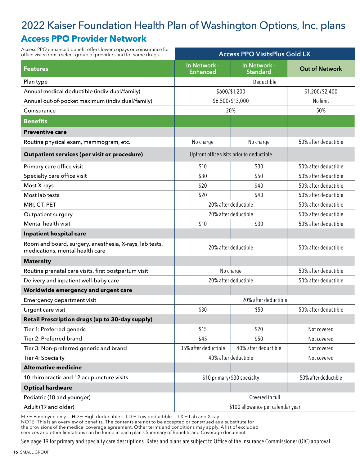### 2022 Kaiser Foundation Health Plan of Washington Options, Inc. plans **Access PPO Provider Network**

| Access PPO enhanced benefit offers lower copays or coinsurance for<br>office visits from a select group of providers and for some drugs. | <b>Access PPO VisitsPlus Gold LX</b> |                                           |                       |
|------------------------------------------------------------------------------------------------------------------------------------------|--------------------------------------|-------------------------------------------|-----------------------|
| <b>Features</b>                                                                                                                          | In Network -<br><b>Enhanced</b>      | In Network -<br><b>Standard</b>           | <b>Out of Network</b> |
| Plan type                                                                                                                                | Deductible                           |                                           |                       |
| Annual medical deductible (individual/family)                                                                                            |                                      | \$600/\$1,200                             | \$1,200/\$2,400       |
| Annual out-of-pocket maximum (individual/family)                                                                                         |                                      | \$6,500/\$13,000                          | No limit              |
| Coinsurance                                                                                                                              |                                      | 20%                                       | 50%                   |
| <b>Benefits</b>                                                                                                                          |                                      |                                           |                       |
| <b>Preventive care</b>                                                                                                                   |                                      |                                           |                       |
| Routine physical exam, mammogram, etc.                                                                                                   | No charge                            | No charge                                 | 50% after deductible  |
| Outpatient services (per visit or procedure)                                                                                             |                                      | Upfront office visits prior to deductible |                       |
| Primary care office visit                                                                                                                | \$10                                 | \$30                                      | 50% after deductible  |
| Specialty care office visit                                                                                                              | \$30                                 | \$50                                      | 50% after deductible  |
| Most X-rays                                                                                                                              | \$20                                 | \$40                                      | 50% after deductible  |
| Most lab tests                                                                                                                           | \$20                                 | \$40                                      | 50% after deductible  |
| MRI, CT, PET                                                                                                                             |                                      | 20% after deductible                      | 50% after deductible  |
| Outpatient surgery                                                                                                                       |                                      | 20% after deductible                      | 50% after deductible  |
| Mental health visit                                                                                                                      | \$10                                 | \$30                                      | 50% after deductible  |
| Inpatient hospital care                                                                                                                  |                                      |                                           |                       |
| Room and board, surgery, anesthesia, X-rays, lab tests,<br>medications, mental health care                                               |                                      | 20% after deductible                      | 50% after deductible  |
| <b>Maternity</b>                                                                                                                         |                                      |                                           |                       |
| Routine prenatal care visits, first postpartum visit                                                                                     |                                      | No charge                                 | 50% after deductible  |
| Delivery and inpatient well-baby care                                                                                                    | 20% after deductible                 |                                           | 50% after deductible  |
| Worldwide emergency and urgent care                                                                                                      |                                      |                                           |                       |
| Emergency department visit                                                                                                               |                                      | 20% after deductible                      |                       |
| Urgent care visit                                                                                                                        | \$30                                 | \$50                                      | 50% after deductible  |
| Retail Prescription drugs (up to 30-day supply)                                                                                          |                                      |                                           |                       |
| Tier 1: Preferred generic                                                                                                                | \$15                                 | \$20                                      | Not covered           |
| Tier 2: Preferred brand                                                                                                                  | \$45                                 | \$50                                      | Not covered           |
| Tier 3: Non-preferred generic and brand                                                                                                  | 35% after deductible                 | 40% after deductible                      | Not covered           |
| Tier 4: Specialty                                                                                                                        |                                      | 40% after deductible                      | Not covered           |
| <b>Alternative medicine</b>                                                                                                              |                                      |                                           |                       |
| 10 chiropractic and 12 acupuncture visits                                                                                                |                                      | \$10 primary/\$30 specialty               | 50% after deductible  |
| <b>Optical hardware</b>                                                                                                                  |                                      |                                           |                       |
| Pediatric (18 and younger)                                                                                                               |                                      | Covered in full                           |                       |
| Adult (19 and older)                                                                                                                     |                                      | \$100 allowance per calendar year         |                       |

 $EO = Employee only$  HD = High deductible  $LD = Low$  deductible  $LX = Lab$  and X-ray

NOTE: This is an overview of benefits. The contents are not to be accepted or construed as a substitute for

the provisions of the medical coverage agreement. Other terms and conditions may apply. A list of excluded services and other limitations can be found in each plan's Summary of Benefits and Coverage document.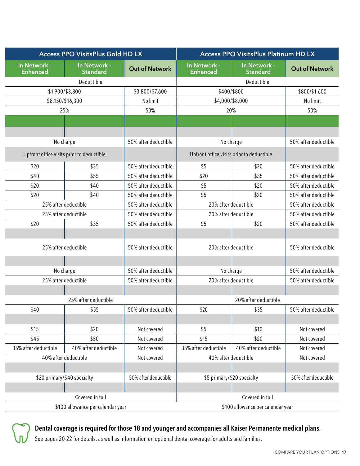| <b>Access PPO VisitsPlus Gold HD LX</b> |                                           | <b>Access PPO VisitsPlus Platinum HD LX</b> |                                 |                                           |                       |
|-----------------------------------------|-------------------------------------------|---------------------------------------------|---------------------------------|-------------------------------------------|-----------------------|
| In Network -<br><b>Enhanced</b>         | In Network -<br><b>Standard</b>           | <b>Out of Network</b>                       | In Network -<br><b>Enhanced</b> | In Network -<br><b>Standard</b>           | <b>Out of Network</b> |
|                                         | Deductible                                |                                             |                                 | Deductible                                |                       |
|                                         | \$1,900/\$3,800                           | \$3,800/\$7,600                             |                                 | \$400/\$800                               | \$800/\$1,600         |
|                                         | \$8,150/\$16,300                          | No limit                                    |                                 | \$4,000/\$8,000                           | No limit              |
|                                         | 25%                                       | 50%                                         |                                 | 20%                                       | 50%                   |
|                                         |                                           |                                             |                                 |                                           |                       |
|                                         |                                           |                                             |                                 |                                           |                       |
|                                         | No charge                                 | 50% after deductible                        |                                 | No charge                                 | 50% after deductible  |
|                                         | Upfront office visits prior to deductible |                                             |                                 | Upfront office visits prior to deductible |                       |
| \$20                                    | \$35                                      | 50% after deductible                        | \$5                             | \$20                                      | 50% after deductible  |
| \$40                                    | \$55                                      | 50% after deductible                        | \$20                            | \$35                                      | 50% after deductible  |
| \$20                                    | \$40                                      | 50% after deductible                        | \$5                             | \$20                                      | 50% after deductible  |
| \$20                                    | \$40                                      | 50% after deductible                        | \$5                             | \$20                                      | 50% after deductible  |
|                                         | 25% after deductible                      | 50% after deductible                        |                                 | 20% after deductible                      | 50% after deductible  |
|                                         | 25% after deductible                      | 50% after deductible                        |                                 | 20% after deductible                      | 50% after deductible  |
| \$20                                    | \$35                                      | 50% after deductible                        | \$5                             | \$20                                      | 50% after deductible  |
|                                         | 25% after deductible                      | 50% after deductible                        |                                 | 20% after deductible                      | 50% after deductible  |
|                                         |                                           |                                             |                                 |                                           |                       |
|                                         | No charge                                 | 50% after deductible                        | No charge                       |                                           | 50% after deductible  |
|                                         | 25% after deductible                      | 50% after deductible                        |                                 | 20% after deductible                      | 50% after deductible  |
|                                         | 25% after deductible                      |                                             |                                 | 20% after deductible                      |                       |
| \$40                                    | \$55                                      | 50% after deductible                        | \$20                            | \$35                                      | 50% after deductible  |
|                                         |                                           |                                             |                                 |                                           |                       |
| \$15                                    | \$20                                      | Not covered                                 | \$5                             | \$10                                      | Not covered           |
| \$45                                    | \$50                                      | Not covered                                 | \$15                            | \$20                                      | Not covered           |
| 35% after deductible                    | 40% after deductible                      | Not covered                                 | 35% after deductible            | 40% after deductible                      | Not covered           |
|                                         | 40% after deductible                      | Not covered                                 |                                 | 40% after deductible                      | Not covered           |
|                                         |                                           |                                             |                                 |                                           |                       |
|                                         | \$20 primary/\$40 specialty               | 50% after deductible                        |                                 | \$5 primary/\$20 specialty                | 50% after deductible  |
|                                         |                                           |                                             |                                 |                                           |                       |
|                                         | Covered in full                           |                                             |                                 | Covered in full                           |                       |
|                                         | \$100 allowance per calendar year         |                                             |                                 | \$100 allowance per calendar year         |                       |



### Dental coverage is required for those 18 and younger and accompanies all Kaiser Permanente medical plans.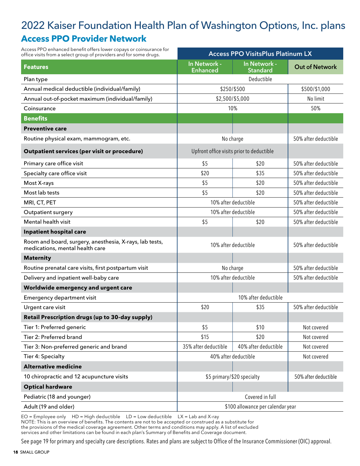### 2022 Kaiser Foundation Health Plan of Washington Options, Inc. plans **Access PPO Provider Network**

| Access PPO enhanced benefit offers lower copays or coinsurance for<br>office visits from a select group of providers and for some drugs. | <b>Access PPO VisitsPlus Platinum LX</b>  |                                 |                       |
|------------------------------------------------------------------------------------------------------------------------------------------|-------------------------------------------|---------------------------------|-----------------------|
| <b>Features</b>                                                                                                                          | In Network -<br><b>Enhanced</b>           | In Network -<br><b>Standard</b> | <b>Out of Network</b> |
| Plan type                                                                                                                                | Deductible                                |                                 |                       |
| Annual medical deductible (individual/family)                                                                                            | \$250/\$500                               |                                 | \$500/\$1,000         |
| Annual out-of-pocket maximum (individual/family)                                                                                         | \$2,500/\$5,000                           |                                 | No limit              |
| Coinsurance                                                                                                                              | 10%                                       |                                 | 50%                   |
| <b>Benefits</b>                                                                                                                          |                                           |                                 |                       |
| <b>Preventive care</b>                                                                                                                   |                                           |                                 |                       |
| Routine physical exam, mammogram, etc.                                                                                                   | No charge                                 |                                 | 50% after deductible  |
| <b>Outpatient services (per visit or procedure)</b>                                                                                      | Upfront office visits prior to deductible |                                 |                       |
| Primary care office visit                                                                                                                | \$5                                       | \$20                            | 50% after deductible  |
| Specialty care office visit                                                                                                              | \$20                                      | \$35                            | 50% after deductible  |
| Most X-rays                                                                                                                              | \$5                                       | \$20                            | 50% after deductible  |
| Most lab tests                                                                                                                           | \$5                                       | \$20                            | 50% after deductible  |
| MRI, CT, PET                                                                                                                             | 10% after deductible                      |                                 | 50% after deductible  |
| <b>Outpatient surgery</b>                                                                                                                | 10% after deductible                      |                                 | 50% after deductible  |
| Mental health visit                                                                                                                      | \$5                                       | \$20                            | 50% after deductible  |
| Inpatient hospital care                                                                                                                  |                                           |                                 |                       |
| Room and board, surgery, anesthesia, X-rays, lab tests,<br>medications, mental health care                                               | 10% after deductible                      |                                 | 50% after deductible  |
| <b>Maternity</b>                                                                                                                         |                                           |                                 |                       |
| Routine prenatal care visits, first postpartum visit                                                                                     | No charge                                 |                                 | 50% after deductible  |
| Delivery and inpatient well-baby care                                                                                                    | 10% after deductible                      |                                 | 50% after deductible  |
| Worldwide emergency and urgent care                                                                                                      |                                           |                                 |                       |
| Emergency department visit                                                                                                               | 10% after deductible                      |                                 |                       |
| Urgent care visit                                                                                                                        | \$20                                      | \$35                            | 50% after deductible  |
| Retail Prescription drugs (up to 30-day supply)                                                                                          |                                           |                                 |                       |
| Tier 1: Preferred generic                                                                                                                | \$5                                       | \$10                            | Not covered           |
| Tier 2: Preferred brand                                                                                                                  | \$15                                      | \$20                            | Not covered           |
| Tier 3: Non-preferred generic and brand                                                                                                  | 35% after deductible                      | 40% after deductible            | Not covered           |
| Tier 4: Specialty                                                                                                                        | 40% after deductible                      |                                 | Not covered           |
| <b>Alternative medicine</b>                                                                                                              |                                           |                                 |                       |
| 10 chiropractic and 12 acupuncture visits                                                                                                | \$5 primary/\$20 specialty                |                                 | 50% after deductible  |
| <b>Optical hardware</b>                                                                                                                  |                                           |                                 |                       |
| Pediatric (18 and younger)                                                                                                               | Covered in full                           |                                 |                       |
| Adult (19 and older)                                                                                                                     | \$100 allowance per calendar year         |                                 |                       |

 $EO = Employee only$  HD = High deductible  $LD = Low$  deductible  $LX = Lab$  and X-ray

NOTE: This is an overview of benefits. The contents are not to be accepted or construed as a substitute for

the provisions of the medical coverage agreement. Other terms and conditions may apply. A list of excluded services and other limitations can be found in each plan's Summary of Benefits and Coverage document.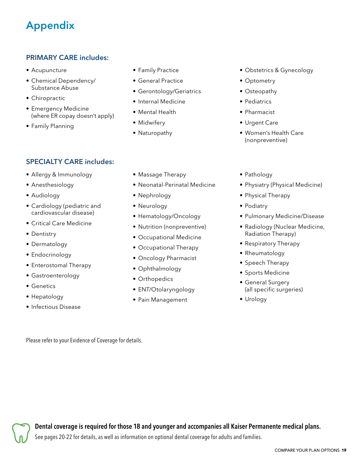## Appendix

#### PRIMARY CARE includes:

- Acupuncture
- Chemical Dependency/ Substance Abuse
- Chiropractic
- Emergency Medicine (where ER copay doesn't apply)
- Family Planning
- Family Practice
- General Practice
- Gerontology/Geriatrics
- Internal Medicine
- Mental Health
- Midwifery
- Naturopathy
- Obstetrics & Gynecology
- Optometry
- Osteopathy
- Pediatrics
- Pharmacist
- Urgent Care
- Women's Health Care (nonpreventive)

- SPECIALTY CARE includes:
- Allergy & Immunology
- Anesthesiology
- Audiology
- Cardiology (pediatric and cardiovascular disease)
- Critical Care Medicine
- Dentistry
- Dermatology
- Endocrinology
- Enterostomal Therapy
- Gastroenterology
- Genetics
- Hepatology
- Infectious Disease
- Massage Therapy
- Neonatal-Perinatal Medicine
- Nephrology
- Neurology
- Hematology/Oncology
- Nutrition (nonpreventive)
- Occupational Medicine
- Occupational Therapy
- Oncology Pharmacist
- Ophthalmology
- Orthopedics
- ENT/Otolaryngology
- Pain Management
- Pathology
- Physiatry (Physical Medicine)
- Physical Therapy
- Podiatry
- Pulmonary Medicine/Disease
- Radiology (Nuclear Medicine, Radiation Therapy)
- Respiratory Therapy
- Rheumatology
- Speech Therapy
- Sports Medicine
- General Surgery (all specific surgeries)
- Urology

Please refer to your Evidence of Coverage for details.

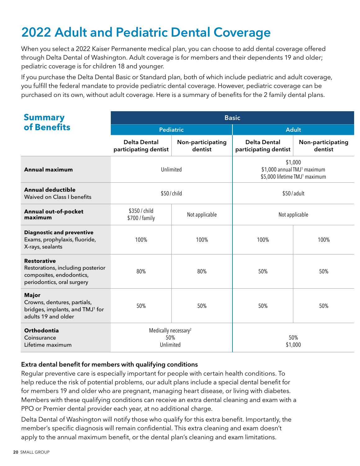# 2022 Adult and Pediatric Dental Coverage

When you select a 2022 Kaiser Permanente medical plan, you can choose to add dental coverage offered through Delta Dental of Washington. Adult coverage is for members and their dependents 19 and older; pediatric coverage is for children 18 and younger.

If you purchase the Delta Dental Basic or Standard plan, both of which include pediatric and adult coverage, you fulfill the federal mandate to provide pediatric dental coverage. However, pediatric coverage can be purchased on its own, without adult coverage. Here is a summary of benefits for the 2 family dental plans.

| <b>Summary</b>                                                                                                    | <b>Basic</b>                                         |                              |                                                                                                 |                              |  |  |
|-------------------------------------------------------------------------------------------------------------------|------------------------------------------------------|------------------------------|-------------------------------------------------------------------------------------------------|------------------------------|--|--|
| of Benefits                                                                                                       | <b>Pediatric</b>                                     |                              | <b>Adult</b>                                                                                    |                              |  |  |
|                                                                                                                   | <b>Delta Dental</b><br>participating dentist         | Non-participating<br>dentist | <b>Delta Dental</b><br>participating dentist                                                    | Non-participating<br>dentist |  |  |
| <b>Annual maximum</b>                                                                                             | Unlimited                                            |                              | \$1,000<br>\$1,000 annual TMJ <sup>1</sup> maximum<br>\$5,000 lifetime TMJ <sup>1</sup> maximum |                              |  |  |
| <b>Annual deductible</b><br><b>Waived on Class I benefits</b>                                                     | \$50/child                                           |                              | \$50/adult                                                                                      |                              |  |  |
| Annual out-of-pocket<br>maximum                                                                                   | \$350 / child<br>Not applicable<br>\$700 / family    |                              | Not applicable                                                                                  |                              |  |  |
| <b>Diagnostic and preventive</b><br>Exams, prophylaxis, fluoride,<br>X-rays, sealants                             | 100%                                                 | 100%                         | 100%                                                                                            | 100%                         |  |  |
| <b>Restorative</b><br>Restorations, including posterior<br>composites, endodontics,<br>periodontics, oral surgery | 80%                                                  | 80%                          | 50%                                                                                             | 50%                          |  |  |
| <b>Major</b><br>Crowns, dentures, partials,<br>bridges, implants, and TMJ <sup>1</sup> for<br>adults 19 and older | 50%                                                  | 50%                          | 50%                                                                                             | 50%                          |  |  |
| Orthodontia<br>Coinsurance<br>Lifetime maximum                                                                    | Medically necessary <sup>2</sup><br>50%<br>Unlimited |                              | 50%<br>\$1,000                                                                                  |                              |  |  |

#### Extra dental benefit for members with qualifying conditions

Regular preventive care is especially important for people with certain health conditions. To help reduce the risk of potential problems, our adult plans include a special dental benefit for for members 19 and older who are pregnant, managing heart disease, or living with diabetes. Members with these qualifying conditions can receive an extra dental cleaning and exam with a PPO or Premier dental provider each year, at no additional charge.

Delta Dental of Washington will notify those who qualify for this extra benefit. Importantly, the member's specific diagnosis will remain confidential. This extra cleaning and exam doesn't apply to the annual maximum benefit, or the dental plan's cleaning and exam limitations.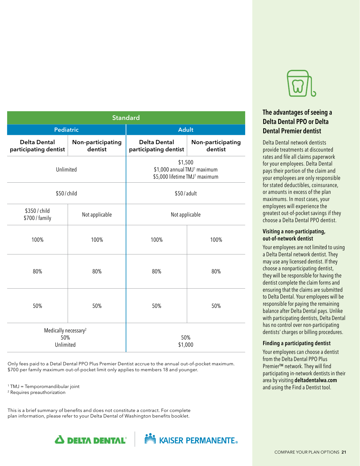

#### The advantages of seeing a Delta Dental PPO or Delta Dental Premier dentist

Delta Dental network dentists provide treatments at discounted rates and file all claims paperwork for your employees. Delta Dental pays their portion of the claim and your employees are only responsible for stated deductibles, coinsurance, or amounts in excess of the plan maximums. In most cases, your employees will experience the greatest out-of-pocket savings if they choose a Delta Dental PPO dentist.

#### Visiting a non-participating, out-of-network dentist

Your employees are not limited to using a Delta Dental network dentist. They may use any licensed dentist. If they choose a nonparticipating dentist, they will be responsible for having the dentist complete the claim forms and ensuring that the claims are submitted to Delta Dental. Your employees will be responsible for paying the remaining balance after Delta Dental pays. Unlike with participating dentists, Delta Dental has no control over non-participating dentists' charges or billing procedures.

#### Finding a participating dentist

Your employees can choose a dentist from the Delta Dental PPO Plus Premier™ network. They will find participating in-network dentists in their area by visiting deltadentalwa.com and using the Find a Dentist tool.

| <b>Standard</b>                                      |                              |                                                                                                 |                              |  |  |
|------------------------------------------------------|------------------------------|-------------------------------------------------------------------------------------------------|------------------------------|--|--|
| <b>Pediatric</b>                                     |                              | <b>Adult</b>                                                                                    |                              |  |  |
| <b>Delta Dental</b><br>participating dentist         | Non-participating<br>dentist | <b>Delta Dental</b><br>participating dentist                                                    | Non-participating<br>dentist |  |  |
| Unlimited                                            |                              | \$1,500<br>\$1,000 annual TMJ <sup>1</sup> maximum<br>\$5,000 lifetime TMJ <sup>1</sup> maximum |                              |  |  |
| \$50/child                                           |                              | \$50/adult                                                                                      |                              |  |  |
| \$350 / child<br>\$700 / family                      | Not applicable               | Not applicable                                                                                  |                              |  |  |
| 100%                                                 | 100%                         | 100%                                                                                            | 100%                         |  |  |
| 80%                                                  | 80%                          | 80%                                                                                             | 80%                          |  |  |
| 50%                                                  | 50%                          | 50%                                                                                             | 50%                          |  |  |
| Medically necessary <sup>2</sup><br>50%<br>Unlimited |                              | 50%<br>\$1,000                                                                                  |                              |  |  |

Only fees paid to a Detal Dental PPO Plus Premier Dentist accrue to the annual out-of-pocket maximum. \$700 per family maximum out-of-pocket limit only applies to members 18 and younger.

 $1$  TMJ = Temporomandibular joint

2 Requires preauthorization

This is a brief summary of benefits and does not constitute a contract. For complete plan information, please refer to your Delta Dental of Washington benefits booklet.



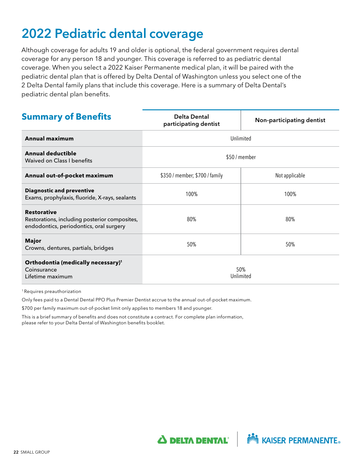# 2022 Pediatric dental coverage

Although coverage for adults 19 and older is optional, the federal government requires dental coverage for any person 18 and younger. This coverage is referred to as pediatric dental coverage. When you select a 2022 Kaiser Permanente medical plan, it will be paired with the pediatric dental plan that is offered by Delta Dental of Washington unless you select one of the 2 Delta Dental family plans that include this coverage. Here is a summary of Delta Dental's pediatric dental plan benefits.

| <b>Summary of Benefits</b>                                                                                     | <b>Delta Dental</b><br>participating dentist | Non-participating dentist |  |  |
|----------------------------------------------------------------------------------------------------------------|----------------------------------------------|---------------------------|--|--|
| <b>Annual maximum</b>                                                                                          | Unlimited                                    |                           |  |  |
| <b>Annual deductible</b><br>Waived on Class I benefits                                                         | \$50 / member                                |                           |  |  |
| Annual out-of-pocket maximum                                                                                   | \$350 / member; \$700 / family               | Not applicable            |  |  |
| <b>Diagnostic and preventive</b><br>Exams, prophylaxis, fluoride, X-rays, sealants                             | 100%                                         | 100%                      |  |  |
| <b>Restorative</b><br>Restorations, including posterior composites,<br>endodontics, periodontics, oral surgery | 80%                                          | 80%                       |  |  |
| <b>Major</b><br>Crowns, dentures, partials, bridges                                                            | 50%                                          | 50%                       |  |  |
| Orthodontia (medically necessary) <sup>1</sup><br>Coinsurance<br>Lifetime maximum                              | 50%<br>Unlimited                             |                           |  |  |

1 Requires preauthorization

Only fees paid to a Dental Dental PPO Plus Premier Dentist accrue to the annual out-of-pocket maximum.

\$700 per family maximum out-of-pocket limit only applies to members 18 and younger.

This is a brief summary of benefits and does not constitute a contract. For complete plan information, please refer to your Delta Dental of Washington benefits booklet.